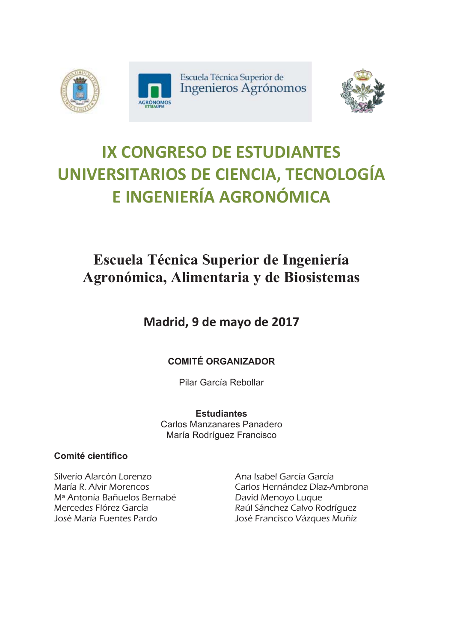





# **IX CONGRESO DE ESTUDIANTES UNIVERSITARIOS DE CIENCIA, TECNOLOGÍA E INGENIERÍA AGRONÓMICA**

## **Escuela Técnica Superior de Ingeniería** Agronómica, Alimentaria y de Biosistemas

**Madrid, 9 de mayo de 2017** 

## **COMITÉ ORGANIZADOR**

Pilar García Rebollar

**Estudiantes** Carlos Manzanares Panadero María Rodríguez Francisco

### Comité científico

Silverio Alarcón Lorenzo María R. Alvir Morencos Mª Antonia Bañuelos Bernabé Mercedes Flórez García José María Fuentes Pardo

Ana Isabel García García Carlos Hernández Díaz-Ambrona David Menoyo Luque Raúl Sánchez Calvo Rodríguez José Francisco Vázques Muñíz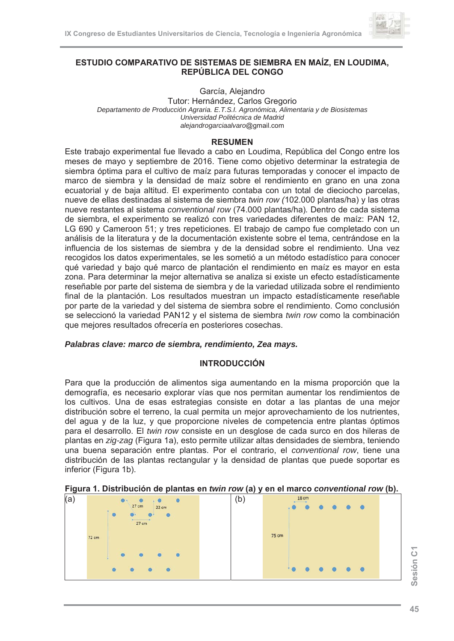

#### ESTUDIO COMPARATIVO DE SISTEMAS DE SIEMBRA EN MAÍZ, EN LOUDIMA, REPÚBLICA DEL CONGO

García, Alejandro

Tutor: Hernández, Carlos Gregorio Departamento de Producción Agraria. E.T.S.I. Agronómica, Alimentaria y de Biosistemas Universidad Politécnica de Madrid alejandrogarciaalvaro@gmail.com

#### **RESUMEN**

Este trabajo experimental fue llevado a cabo en Loudima, República del Congo entre los meses de mayo y septiembre de 2016. Tiene como objetivo determinar la estrategia de siembra óptima para el cultivo de maíz para futuras temporadas y conocer el impacto de marco de siembra y la densidad de maíz sobre el rendimiento en grano en una zona ecuatorial y de baia altitud. El experimento contaba con un total de dieciocho parcelas. nueve de ellas destinadas al sistema de siembra *twin row (102.000 plantas/ha)* y las otras nueve restantes al sistema conventional row (74.000 plantas/ha). Dentro de cada sistema de siembra, el experimento se realizó con tres variedades diferentes de maíz: PAN 12, LG 690 y Cameroon 51; y tres repeticiones. El trabajo de campo fue completado con un análisis de la literatura y de la documentación existente sobre el tema, centrándose en la influencia de los sistemas de siembra y de la densidad sobre el rendimiento. Una vez recogidos los datos experimentales, se les sometió a un método estadístico para conocer qué variedad y bajo qué marco de plantación el rendimiento en maíz es mayor en esta zona. Para determinar la mejor alternativa se analiza si existe un efecto estadísticamente reseñable por parte del sistema de siembra y de la variedad utilizada sobre el rendimiento final de la plantación. Los resultados muestran un impacto estadísticamente reseñable por parte de la variedad y del sistema de siembra sobre el rendimiento. Como conclusión se seleccionó la variedad PAN12 y el sistema de siembra twin row como la combinación que mejores resultados ofrecería en posteriores cosechas.

#### Palabras clave: marco de siembra, rendimiento, Zea mays,

#### **INTRODUCCIÓN**

Para que la producción de alimentos siga aumentando en la misma proporción que la demografía, es necesario explorar vías que nos permitan aumentar los rendimientos de los cultivos. Una de esas estrategias consiste en dotar a las plantas de una mejor distribución sobre el terreno, la cual permita un mejor aprovechamiento de los nutrientes, del agua y de la luz, y que proporcione niveles de competencia entre plantas óptimos para el desarrollo. El *twin row* consiste en un desglose de cada surco en dos hileras de plantas en zig-zag (Figura 1a), esto permite utilizar altas densidades de siembra, teniendo una buena separación entre plantas. Por el contrario, el conventional row, tiene una distribución de las plantas rectangular y la densidad de plantas que puede soportar es inferior (Figura 1b).

|  |  | Figura 1. Distribución de plantas en twin row (a) y en el marco conventional row (b). |  |
|--|--|---------------------------------------------------------------------------------------|--|
|--|--|---------------------------------------------------------------------------------------|--|

|       | $\bullet$              | (b           |       | 18 cm |    |                        |
|-------|------------------------|--------------|-------|-------|----|------------------------|
|       | 22 cm                  |              |       |       | 40 |                        |
|       | 27 cm                  |              |       |       |    |                        |
| 72 cm |                        |              | 75 cm |       |    |                        |
|       | $\bullet$<br>$\bullet$ |              |       |       |    |                        |
|       |                        |              |       |       |    |                        |
|       |                        | (a)<br>27 cm |       | .     |    | $\bullet$<br>$\bullet$ |

Sesión C1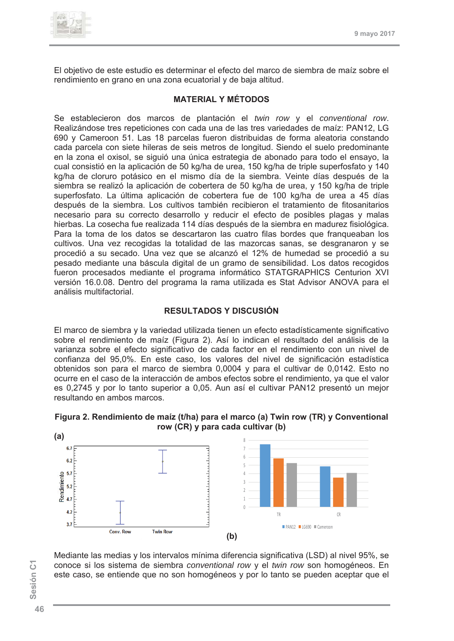

El objetivo de este estudio es determinar el efecto del marco de siembra de maíz sobre el rendimiento en grano en una zona ecuatorial y de baja altitud.

#### **MATERIAL Y MÉTODOS**

Se establecieron dos marcos de plantación el twin row y el conventional row. Realizándose tres repeticiones con cada una de las tres variedades de maíz: PAN12. LG 690 y Cameroon 51, Las 18 parcelas fueron distribuidas de forma aleatoria constando cada parcela con siete hileras de seis metros de longitud. Siendo el suelo predominante en la zona el oxisol, se siguió una única estrategia de abonado para todo el ensayo, la cual consistió en la aplicación de 50 kg/ha de urea, 150 kg/ha de triple superfosfato y 140 kg/ha de cloruro potásico en el mismo día de la siembra. Veinte días después de la siembra se realizó la aplicación de cobertera de 50 kg/ha de urea, y 150 kg/ha de triple superfosfato. La última aplicación de cobertera fue de 100 kg/ha de urea a 45 días después de la siembra. Los cultivos también recibieron el tratamiento de fitosanitarios necesario para su correcto desarrollo y reducir el efecto de posibles plagas y malas hierbas. La cosecha fue realizada 114 días después de la siembra en madurez fisiológica. Para la toma de los datos se descartaron las cuatro filas bordes que frangueaban los cultivos. Una vez recogidas la totalidad de las mazorcas sanas, se desgranaron y se procedió a su secado. Una vez que se alcanzó el 12% de humedad se procedió a su pesado mediante una báscula digital de un gramo de sensibilidad. Los datos recogidos fueron procesados mediante el programa informático STATGRAPHICS Centurion XVI versión 16.0.08. Dentro del programa la rama utilizada es Stat Advisor ANOVA para el análisis multifactorial.

#### **RESULTADOS Y DISCUSIÓN**

El marco de siembra y la variedad utilizada tienen un efecto estadísticamente significativo sobre el rendimiento de maíz (Figura 2). Así lo indican el resultado del análisis de la varianza sobre el efecto significativo de cada factor en el rendimiento con un nivel de confianza del 95,0%. En este caso, los valores del nivel de significación estadística obtenidos son para el marco de siembra 0,0004 y para el cultivar de 0,0142. Esto no ocurre en el caso de la interacción de ambos efectos sobre el rendimiento, ya que el valor es 0.2745 y por lo tanto superior a 0.05. Aun así el cultivar PAN12 presentó un mejor resultando en ambos marcos.





Sesión C1

Mediante las medias y los intervalos mínima diferencia significativa (LSD) al nivel 95%, se conoce si los sistema de siembra conventional row y el twin row son homogéneos. En este caso, se entiende que no son homogéneos y por lo tanto se pueden aceptar que el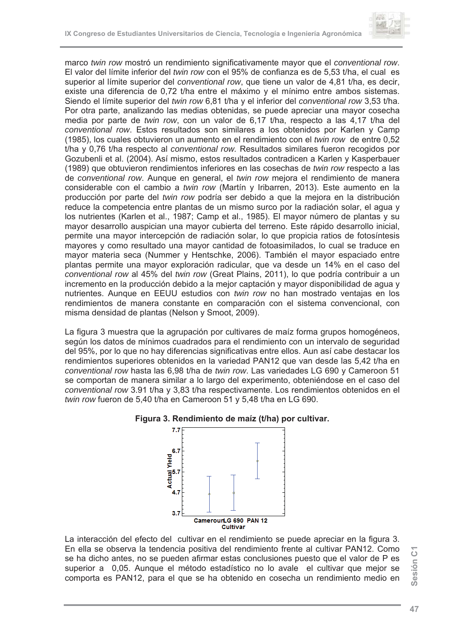

marco twin row mostró un rendimiento significativamente mayor que el conventional row. El valor del límite inferior del *twin row* con el 95% de confianza es de 5,53 t/ha, el cual es superior al límite superior del conventional row, que tiene un valor de 4.81 t/ha, es decir. existe una diferencia de 0.72 t/ha entre el máximo y el mínimo entre ambos sistemas. Siendo el límite superior del twin row 6,81 t/ha y el inferior del conventional row 3,53 t/ha. Por otra parte, analizando las medias obtenidas, se puede apreciar una mayor cosecha media por parte de twin row, con un valor de 6,17 t/ha, respecto a las 4,17 t/ha del conventional row. Estos resultados son similares a los obtenidos por Karlen y Camp (1985), los cuales obtuvieron un aumento en el rendimiento con el twin row de entre 0,52 t/ha y 0.76 t/ha respecto al conventional row. Resultados similares fueron recogidos por Gozubenli et al. (2004). Así mismo, estos resultados contradicen a Karlen y Kasperbauer (1989) que obtuvieron rendimientos inferiores en las cosechas de *twin row* respecto a las de conventional row. Aunque en general, el twin row mejora el rendimiento de manera considerable con el cambio a twin row (Martín y Iribarren, 2013). Este aumento en la producción por parte del twin row podría ser debido a que la mejora en la distribución reduce la competencia entre plantas de un mismo surco por la radiación solar, el agua y los nutrientes (Karlen et al., 1987; Camp et al., 1985). El mayor número de plantas y su mayor desarrollo auspician una mayor cubierta del terreno. Este rápido desarrollo inicial. permite una mayor intercepción de radiación solar, lo que propicia ratios de fotosíntesis mayores y como resultado una mayor cantidad de fotoasimilados, lo cual se traduce en mayor materia seca (Nummer y Hentschke, 2006). También el mayor espaciado entre plantas permite una mayor exploración radicular, que va desde un 14% en el caso del conventional row al 45% del twin row (Great Plains, 2011), lo que podría contribuir a un incremento en la producción debido a la mejor captación y mayor disponibilidad de agua y nutrientes. Aunque en EEUU estudios con twin row no han mostrado ventajas en los rendimientos de manera constante en comparación con el sistema convencional, con misma densidad de plantas (Nelson y Smoot, 2009).

La figura 3 muestra que la agrupación por cultivares de maíz forma grupos homogéneos, según los datos de mínimos cuadrados para el rendimiento con un intervalo de seguridad del 95%, por lo que no hay diferencias significativas entre ellos. Aun así cabe destacar los rendimientos superiores obtenidos en la variedad PAN12 que van desde las 5,42 t/ha en conventional row hasta las 6,98 t/ha de twin row. Las variedades LG 690 y Cameroon 51 se comportan de manera similar a lo largo del experimento, obteniéndose en el caso del conventional row 3.91 t/ha y 3.83 t/ha respectivamente. Los rendimientos obtenidos en el twin row fueron de 5,40 t/ha en Cameroon 51 y 5,48 t/ha en LG 690.



#### Figura 3. Rendimiento de maíz (t/ha) por cultivar.

La interacción del efecto del cultivar en el rendimiento se puede apreciar en la figura 3. En ella se observa la tendencia positiva del rendimiento frente al cultivar PAN12. Como se ha dicho antes, no se pueden afirmar estas conclusiones puesto que el valor de P es superior a 0,05. Aunque el método estadístico no lo avale el cultivar que mejor se comporta es PAN12, para el que se ha obtenido en cosecha un rendimiento medio en

Sesión C1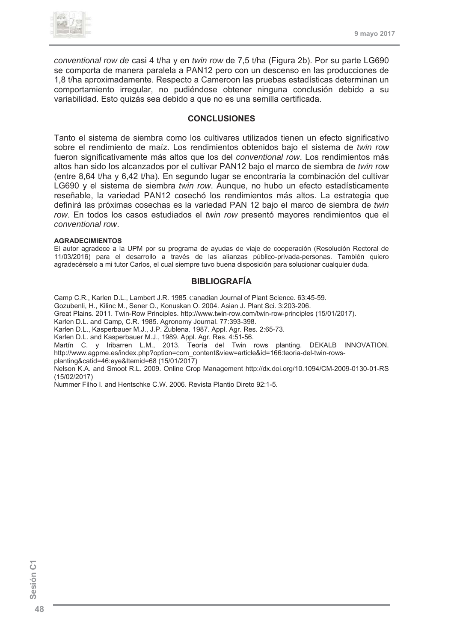

conventional row de casi 4 t/ha y en twin row de 7,5 t/ha (Figura 2b). Por su parte LG690 se comporta de manera paralela a PAN12 pero con un descenso en las producciones de 1.8 t/ha aproximadamente. Respecto a Cameroon las pruebas estadísticas determinan un comportamiento irregular, no pudiéndose obtener ninguna conclusión debido a su variabilidad. Esto quizás sea debido a que no es una semilla certificada.

#### **CONCLUSIONES**

Tanto el sistema de siembra como los cultivares utilizados tienen un efecto significativo sobre el rendimiento de maíz. Los rendimientos obtenidos bajo el sistema de twin row fueron significativamente más altos que los del conventional row. Los rendimientos más altos han sido los alcanzados por el cultivar PAN12 bajo el marco de siembra de twin row (entre 8,64 t/ha y 6,42 t/ha). En segundo lugar se encontraría la combinación del cultivar LG690 y el sistema de siembra *twin row*. Aunque, no hubo un efecto estadísticamente reseñable, la variedad PAN12 cosechó los rendimientos más altos. La estrategia que definirá las próximas cosechas es la variedad PAN 12 bajo el marco de siembra de twin row. En todos los casos estudiados el *twin row* presentó mayores rendimientos que el conventional row.

#### **AGRADECIMIENTOS**

El autor agradece a la UPM por su programa de ayudas de viaje de cooperación (Resolución Rectoral de 11/03/2016) para el desarrollo a través de las alianzas público-privada-personas. También quiero agradecérselo a mi tutor Carlos, el cual siempre tuvo buena disposición para solucionar cualquier duda.

#### **BIBLIOGRAFÍA**

Camp C.R., Karlen D.L., Lambert J.R. 1985. Canadian Journal of Plant Science. 63:45-59. Gozubenli, H., Kilinc M., Sener O., Konuskan O. 2004. Asian J. Plant Sci. 3:203-206. Great Plains. 2011. Twin-Row Principles. http://www.twin-row.com/twin-row-principles (15/01/2017). Karlen D.L. and Camp, C.R. 1985. Agronomy Journal. 77:393-398. Karlen D.L., Kasperbauer M.J., J.P. Zublena. 1987. Appl. Agr. Res. 2:65-73. Karlen D.L. and Kasperbauer M.J., 1989. Appl. Agr. Res. 4:51-56. Martín C. y Iribarren L.M., 2013. Teoría del Twin rows planting. DEKALB INNOVATION. http://www.agpme.es/index.php?option=com\_content&view=article&id=166:teoria-del-twin-rowsplanting&catid=46:eye&Itemid=68 (15/01/2017) Nelson K.A. and Smoot R.L. 2009. Online Crop Management http://dx.doi.org/10.1094/CM-2009-0130-01-RS  $(15/02/2017)$ 

Nummer Filho I. and Hentschke C.W. 2006. Revista Plantio Direto 92:1-5.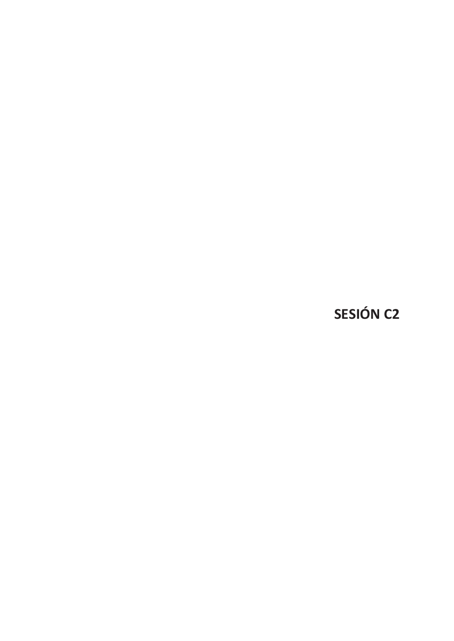**SESIÓN C2**